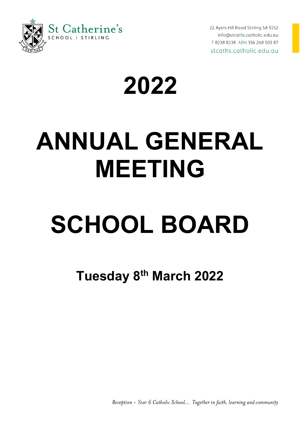

22 Ayers Hill Road Stirling SA 5152 info@stcaths.catholic.edu.au T 8238 8238 ABN 336 268 503 87 stcaths.catholic.edu.au

## **2022**

## **ANNUAL GENERAL MEETING**

# **SCHOOL BOARD**

**Tuesday 8th March 2022**

Reception - Year 6 Catholic School... Together in faith, learning and community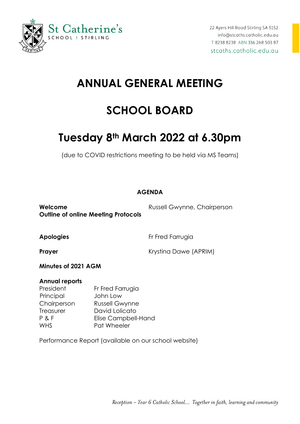

## **ANNUAL GENERAL MEETING**

### **SCHOOL BOARD**

## **Tuesday 8th March 2022 at 6.30pm**

(due to COVID restrictions meeting to be held via MS Teams)

#### **AGENDA**

**Welcome Russell Gwynne, Chairperson Outline of online Meeting Protocols**

**Apologies** Fr Fred Farrugia

**Prayer Prayer** Krystina Dawe (APRIM)

**Minutes of 2021 AGM**

#### **Annual reports**

President Fr Fred Farrugia Principal John Low Chairperson Russell Gwynne Treasurer David Lolicato P & F Elise Campbell-Hand WHS **Pat Wheeler** 

Performance Report (available on our school website)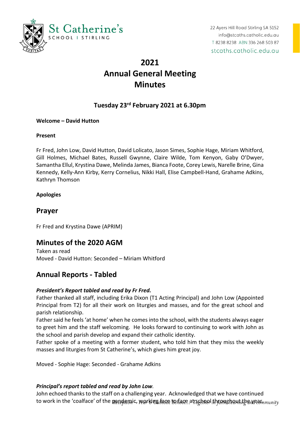

### **2021 Annual General Meeting Minutes**

#### **Tuesday 23rd February 2021 at 6.30pm**

#### **Welcome – David Hutton**

#### **Present**

Fr Fred, John Low, David Hutton, David Lolicato, Jason Simes, Sophie Hage, Miriam Whitford, Gill Holmes, Michael Bates, Russell Gwynne, Claire Wilde, Tom Kenyon, Gaby O'Dwyer, Samantha Ellul, Krystina Dawe, Melinda James, Bianca Foote, Corey Lewis, Narelle Brine, Gina Kennedy, Kelly-Ann Kirby, Kerry Cornelius, Nikki Hall, Elise Campbell-Hand, Grahame Adkins, Kathryn Thomson

#### **Apologies**

#### **Prayer**

Fr Fred and Krystina Dawe (APRIM)

#### **Minutes of the 2020 AGM**

Taken as read Moved - David Hutton: Seconded – Miriam Whitford

#### **Annual Reports - Tabled**

#### *President's Report tabled and read by Fr Fred.*

Father thanked all staff, including Erika Dixon (T1 Acting Principal) and John Low (Appointed Principal from T2) for all their work on liturgies and masses, and for the great school and parish relationship.

Father said he feels 'at home' when he comes into the school, with the students always eager to greet him and the staff welcoming. He looks forward to continuing to work with John as the school and parish develop and expand their catholic identity.

Father spoke of a meeting with a former student, who told him that they miss the weekly masses and liturgies from St Catherine's, which gives him great joy.

Moved - Sophie Hage: Seconded - Grahame Adkins

#### *Principal's report tabled and read by John Low.*

John echoed thanks to the staff on a challenging year. Acknowledged that we have continued to work in the 'coalface' of the pandemic, working face to face at school throughout the wear munity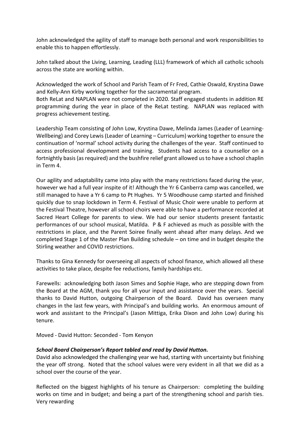John acknowledged the agility of staff to manage both personal and work responsibilities to enable this to happen effortlessly.

John talked about the Living, Learning, Leading (LLL) framework of which all catholic schools across the state are working within.

Acknowledged the work of School and Parish Team of Fr Fred, Cathie Oswald, Krystina Dawe and Kelly-Ann Kirby working together for the sacramental program.

Both ReLat and NAPLAN were not completed in 2020. Staff engaged students in addition RE programming during the year in place of the ReLat testing. NAPLAN was replaced with progress achievement testing.

Leadership Team consisting of John Low, Krystina Dawe, Melinda James (Leader of Learning-Wellbeing) and Corey Lewis (Leader of Learning – Curriculum) working together to ensure the continuation of 'normal' school activity during the challenges of the year. Staff continued to access professional development and training. Students had access to a counsellor on a fortnightly basis (as required) and the bushfire relief grant allowed us to have a school chaplin in Term 4.

Our agility and adaptability came into play with the many restrictions faced during the year, however we had a full year inspite of it! Although the Yr 6 Canberra camp was cancelled, we still managed to have a Yr 6 camp to Pt Hughes. Yr 5 Woodhouse camp started and finished quickly due to snap lockdown in Term 4. Festival of Music Choir were unable to perform at the Festival Theatre, however all school choirs were able to have a performance recorded at Sacred Heart College for parents to view. We had our senior students present fantastic performances of our school musical, Matilda. P & F achieved as much as possible with the restrictions in place, and the Parent Soiree finally went ahead after many delays. And we completed Stage 1 of the Master Plan Building schedule – on time and in budget despite the Stirling weather and COVID restrictions.

Thanks to Gina Kennedy for overseeing all aspects of school finance, which allowed all these activities to take place, despite fee reductions, family hardships etc.

Farewells: acknowledging both Jason Simes and Sophie Hage, who are stepping down from the Board at the AGM, thank you for all your input and assistance over the years. Special thanks to David Hutton, outgoing Chairperson of the Board. David has overseen many changes in the last few years, with Principal's and building works. An enormous amount of work and assistant to the Principal's (Jason Mittiga, Erika Dixon and John Low) during his tenure.

Moved - David Hutton: Seconded - Tom Kenyon

#### *School Board Chairperson's Report tabled and read by David Hutton.*

David also acknowledged the challenging year we had, starting with uncertainty but finishing the year off strong. Noted that the school values were very evident in all that we did as a school over the course of the year.

Reflected on the biggest highlights of his tenure as Chairperson: completing the building works on time and in budget; and being a part of the strengthening school and parish ties. Very rewarding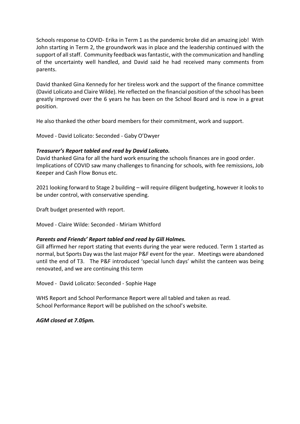Schools response to COVID- Erika in Term 1 as the pandemic broke did an amazing job! With John starting in Term 2, the groundwork was in place and the leadership continued with the support of all staff. Community feedback was fantastic, with the communication and handling of the uncertainty well handled, and David said he had received many comments from parents.

David thanked Gina Kennedy for her tireless work and the support of the finance committee (David Lolicato and Claire Wilde). He reflected on the financial position of the school has been greatly improved over the 6 years he has been on the School Board and is now in a great position.

He also thanked the other board members for their commitment, work and support.

Moved - David Lolicato: Seconded - Gaby O'Dwyer

#### *Treasurer's Report tabled and read by David Lolicato.*

David thanked Gina for all the hard work ensuring the schools finances are in good order. Implications of COVID saw many challenges to financing for schools, with fee remissions, Job Keeper and Cash Flow Bonus etc.

2021 looking forward to Stage 2 building – will require diligent budgeting, however it looks to be under control, with conservative spending.

Draft budget presented with report.

Moved - Claire Wilde: Seconded - Miriam Whitford

#### *Parents and Friends' Report tabled and read by Gill Holmes.*

Gill affirmed her report stating that events during the year were reduced. Term 1 started as normal, but Sports Day was the last major P&F event for the year. Meetings were abandoned until the end of T3. The P&F introduced 'special lunch days' whilst the canteen was being renovated, and we are continuing this term

Moved - David Lolicato: Seconded - Sophie Hage

WHS Report and School Performance Report were all tabled and taken as read. School Performance Report will be published on the school's website.

*AGM closed at 7.05pm.*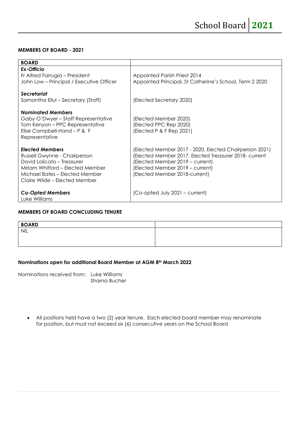#### **MEMBERS OF BOARD - 2021**

| <b>BOARD</b>                                                                                                                                                                                |                                                                                                                                                                                                                        |
|---------------------------------------------------------------------------------------------------------------------------------------------------------------------------------------------|------------------------------------------------------------------------------------------------------------------------------------------------------------------------------------------------------------------------|
| Ex-Officio<br>Fr Alfred Farrugia - President                                                                                                                                                | Appointed Parish Priest 2014                                                                                                                                                                                           |
| John Low - Principal / Executive Officer                                                                                                                                                    | Appointed Principal, St Catherine's School, Term 2 2020                                                                                                                                                                |
| Secretariat                                                                                                                                                                                 |                                                                                                                                                                                                                        |
| Samantha Ellul - Secretary (Staff)                                                                                                                                                          | (Elected Secretary 2020)                                                                                                                                                                                               |
| <b>Nominated Members</b><br>Gaby O'Dwyer – Staff Representative<br>Tom Kenyon – PPC Representative<br>Elise Campbell-Hand - P & F<br>Representative                                         | (Elected Member 2020)<br>(Elected PPC Rep 2020)<br>(Elected P & F Rep 2021)                                                                                                                                            |
| <b>Elected Members</b><br>Russell Gwynne - Chairperson<br>David Lolicato - Treasurer<br>Miriam Whitford - Elected Member<br>Michael Bates - Elected Member<br>Claire Wilde – Elected Member | (Elected Member 2017 - 2020, Elected Chairperson 2021)<br>(Elected Member 2017, Elected Treasurer 2018- current<br>(Elected Member 2019 – current)<br>(Elected Member 2019 - current)<br>(Elected Member 2018-current) |
| <b>Co-Opted Members</b><br>Luke Williams                                                                                                                                                    | (Co-opted July 2021 – current)                                                                                                                                                                                         |

#### **MEMBERS OF BOARD CONCLUDING TENURE**

| <b>BOARD</b> |  |
|--------------|--|
| <b>NIL</b>   |  |
|              |  |
|              |  |

#### **Nominations open for additional Board Member at AGM 8th March 2022**

Nominations received from: Luke Williams Sharna Bucher

• All positions held have a two (2) year tenure. Each elected board member may renominate for position, but must not exceed six (6) consecutive years on the School Board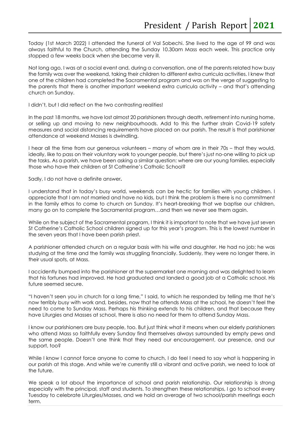Today (1st March 2022) I attended the funeral of Val Sobechi. She lived to the age of 99 and was always faithful to the Church, attending the Sunday 10.30am Mass each week. This practice only stopped a few weeks back when she became very ill.

Not long ago, I was at a social event and, during a conversation, one of the parents related how busy the family was over the weekend, taking their children to different extra curricula activities. I knew that one of the children had completed the Sacramental program and was on the verge of suggesting to the parents that there is another important weekend extra curricula activity – and that's attending church on Sunday.

I didn't, but I did reflect on the two contrasting realities!

In the past 18 months, we have lost almost 20 parishioners through death, retirement into nursing home, or selling up and moving to new neighbourhoods. Add to this the further strain Covid-19 safety measures and social distancing requirements have placed on our parish. The result is that parishioner attendance at weekend Masses is dwindling.

I hear all the time from our generous volunteers – many of whom are in their 70s – that they would, ideally, like to pass on their voluntary work to younger people, but there's just no-one willing to pick up the tasks. As a parish, we have been asking a similar question: where are our young families, especially those who have their children at St Catherine's Catholic School?

Sadly, I do not have a definite answer**.**

I understand that in today's busy world, weekends can be hectic for families with young children. I appreciate that I am not married and have no kids, but I think the problem is there is no commitment in the family ethos to come to church on Sunday. It's heart-breaking that we baptise our children, many go on to complete the Sacramental program…and then we never see them again.

While on the subject of the Sacramental program, I think it is important to note that we have just seven St Catherine's Catholic School children signed up for this year's program. This is the lowest number in the seven years that I have been parish priest.

A parishioner attended church on a regular basis with his wife and daughter. He had no job; he was studying at the time and the family was struggling financially. Suddenly, they were no longer there, in their usual spots, at Mass.

I accidently bumped into the parishioner at the supermarket one morning and was delighted to learn that his fortunes had improved. He had graduated and landed a good job at a Catholic school. His future seemed secure.

"I haven't seen you in church for a long time," I said, to which he responded by telling me that he's now terribly busy with work and, besides, now that he attends Mass at the school, he doesn't feel the need to come to Sunday Mass. Perhaps his thinking extends to his children, and that because they have Liturgies and Masses at school, there is also no need for them to attend Sunday Mass.

I know our parishioners are busy people, too. But just think what it means when our elderly parishioners who attend Mass so faithfully every Sunday find themselves always surrounded by empty pews and the same people. Doesn't one think that they need our encouragement, our presence, and our support, too?

While I know I cannot force anyone to come to church, I do feel I need to say what is happening in our parish at this stage. And while we're currently still a vibrant and active parish, we need to look at the future.

We speak a lot about the importance of school and parish relationship. Our relationship is strong especially with the principal, staff and students. To strengthen these relationships, I go to school every Tuesday to celebrate Liturgies/Masses, and we hold an average of two school/parish meetings each term.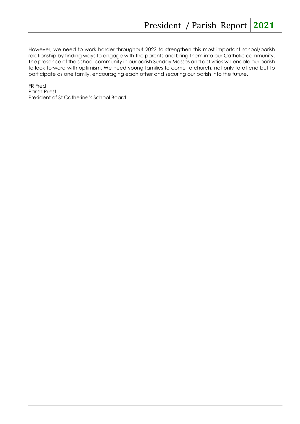However, we need to work harder throughout 2022 to strengthen this most important school/parish relationship by finding ways to engage with the parents and bring them into our Catholic community. The presence of the school community in our parish Sunday Masses and activities will enable our parish to look forward with optimism. We need young families to come to church, not only to attend but to participate as one family, encouraging each other and securing our parish into the future.

FR Fred Parish Priest President of St Catherine's School Board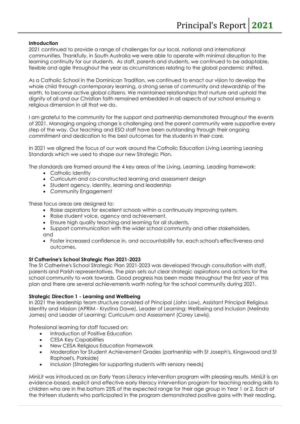#### **Introduction**

2021 continued to provide a range of challenges for our local, national and international communities. Thankfully, in South Australia we were able to operate with minimal disruption to the learning continuity for our students. As staff, parents and students, we continued to be adaptable, flexible and agile throughout the year as circumstances relating to the global pandemic shifted.

As a Catholic School in the Dominican Tradition, we continued to enact our vision to develop the whole child through contemporary learning, a strong sense of community and stewardship of the earth, to become active global citizens. We maintained relationships that nurture and uphold the dignity of all and our Christian faith remained embedded in all aspects of our school ensuring a religious dimension in all that we do.

I am grateful to the community for the support and partnership demonstrated throughout the events of 2021. Managing ongoing change is challenging and the parent community were supportive every step of the way. Our teaching and ESO staff have been outstanding through their ongoing commitment and dedication to the best outcomes for the students in their care.

In 2021 we aligned the focus of our work around the Catholic Education Living Learning Leaning Standards which we used to shape our new Strategic Plan.

The standards are framed around the 4 key areas of the Living, Learning, Leading framework:

- Catholic Identity
- Curriculum and co-constructed learning and assessment design
- Student agency, identity, learning and leadership
- Community Engagement

These focus areas are designed to:

- Raise aspirations for excellent schools within a continuously improving system,
- Raise student voice, agency and achievement,
- Ensure high quality teaching and learning for all students,
- Support communication with the wider school community and other stakeholders, and
- Foster increased confidence in, and accountability for, each school's effectiveness and outcomes.

#### **St Catherine's School Strategic Plan 2021-2023**

The St Catherine's School Strategic Plan 2021-2023 was developed through consultation with staff, parents and Parish representatives. The plan sets out clear strategic aspirations and actions for the school community to work towards. Good progress has been made throughout the first year of this plan and there are several achievements worth noting for the school community during 2021.

#### **Strategic Direction 1 - Learning and Wellbeing**

In 2021 the leadership team structure consisted of Principal (John Low), Assistant Principal Religious Identity and Mission (APRIM - Krystina Dawe), Leader of Learning: Wellbeing and Inclusion (Melinda James) and Leader of Learning: Curriculum and Assessment (Corey Lewis).

Professional learning for staff focused on:

- Introduction of Positive Education
- CESA Key Capabilities
- New CESA Religious Education Framework
- Moderation for Student Achievement Grades (partnership with St Joseph's, Kingswood and St Raphael's, Parkside)
- Inclusion (Strategies for supporting students with sensory needs)

MiniLit was introduced as an Early Years Literacy intervention program with pleasing results. MiniLit is an evidence-based, explicit and effective early literacy intervention program for teaching reading skills to children who are in the bottom 25% of the expected range for their age group in Year 1 or 2. Each of the thirteen students who participated in the program demonstrated positive gains with their reading.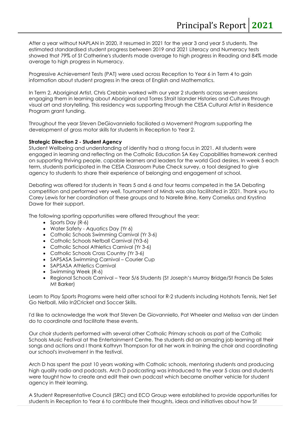After a year without NAPLAN in 2020, it resumed in 2021 for the year 3 and year 5 students. The estimated standardised student progress between 2019 and 2021 Literacy and Numeracy tests showed that 79% of St Catherine's students made average to high progress in Reading and 84% made average to high progress in Numeracy.

Progressive Achievement Tests (PAT) were used across Reception to Year 6 in Term 4 to gain information about student progress in the areas of English and Mathematics.

In Term 2, Aboriginal Artist, Chris Crebbin worked with our year 2 students across seven sessions engaging them in learning about Aboriginal and Torres Strait Islander Histories and Cultures through visual art and storytelling. This residency was supporting through the CESA Cultural Artist in Residence Program grant funding.

Throughout the year Steven DeGiovanniello faciliated a Movement Program supporting the development of gross motor skills for students in Reception to Year 2.

#### **Strategic Direction 2 - Student Agency**

Student Wellbeing and understanding of identity had a strong focus in 2021. All students were engaged in learning and reflecting on the Catholic Education SA Key Capabilities framework centred on supporting thriving people, capable learners and leaders for the world God desires. In week 5 each term, students participated in the CESA Classroom Pulse Check survey, a tool designed to give agency to students to share their experience of belonging and engagement at school.

Debating was offered for students in Years 5 and 6 and four teams competed in the SA Debating competition and performed very well. Tournament of Minds was also facilitated in 2021. Thank you to Corey Lewis for her coordination of these groups and to Narelle Brine, Kerry Cornelius and Krystina Dawe for their support.

The following sporting opportunities were offered throughout the year:

- Sports Day (R-6)
- Water Safety Aquatics Day (Yr 6)
- Catholic Schools Swimming Carnival (Yr 3-6)
- Catholic Schools Netball Carnival (Yr3-6)
- Catholic School Athletics Carnival (Yr 3-6)
- Catholic Schools Cross Country (Yr 3-6)
- SAPSASA Swimming Carnival Courier Cup
- SAPSASA Athletics Carnival
- Swimming Week (R-6)
- Regional Schools Carnival Year 5/6 Students (St Joseph's Murray Bridge/St Francis De Sales Mt Barker)

Learn to Play Sports Programs were held after school for R-2 students including Hotshots Tennis, Net Set Go Netball, Milo In2Cricket and Soccer Skills.

I'd like to acknowledge the work that Steven De Giovanniello, Pat Wheeler and Melissa van der Linden do to coordinate and facilitate these events.

Our choir students performed with several other Catholic Primary schools as part of the Catholic Schools Music Festival at the Entertainment Centre. The students did an amazing job learning all their songs and actions and I thank Kathryn Thompson for all her work in training the choir and coordinating our school's involvement in the festival.

Arch D has spent the past 10 years working with Catholic schools, mentoring students and producing high quality radio and podcasts. Arch D podcasting was introduced to the year 5 class and students were taught how to create and edit their own podcast which became another vehicle for student agency in their learning.

A Student Representative Council (SRC) and ECO Group were established to provide opportunities for students in Reception to Year 6 to contribute their thoughts, ideas and initiatives about how St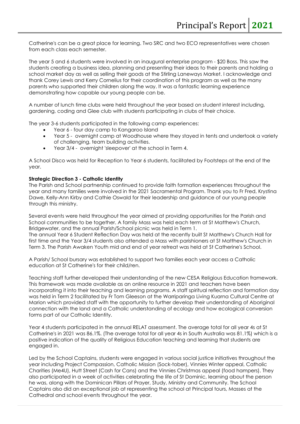Catherine's can be a great place for learning. Two SRC and two ECO representatives were chosen from each class each semester.

The year 5 and 6 students were involved in an inaugural enterprise program - \$20 Boss. This saw the students creating a business idea, planning and presenting their ideas to their parents and holding a school market day as well as selling their goods at the Stirling Laneways Market. I acknowledge and thank Corey Lewis and Kerry Cornelius for their coordination of this program as well as the many parents who supported their children along the way. It was a fantastic learning experience demonstrating how capable our young people can be.

A number of lunch time clubs were held throughout the year based on student interest including, gardening, coding and Glee club with students participating in clubs of their choice.

The year 3-6 students participated in the following camp experiences:

- Year 6 four day camp to Kangaroo Island
- Year 5 overnight camp at Woodhouse where they stayed in tents and undertook a variety of challenging, team building activities.
- Year 3/4 overnight 'sleepover' at the school in Term 4.

A School Disco was held for Reception to Year 6 students, facilitated by Footsteps at the end of the year.

#### **Strategic Direction 3 - Catholic Identity**

The Parish and School partnership continued to provide faith formation experiences throughout the year and many families were involved in the 2021 Sacramental Program. Thank you to Fr Fred, Krystina Dawe, Kelly-Ann Kirby and Cathie Oswald for their leadership and guidance of our young people through this ministry.

Several events were held throughout the year aimed at providing opportunities for the Parish and School communities to be together. A family Mass was held each term at St Matthew's Church, Bridgewater, and the annual Parish/School picnic was held in Term 1. The annual Year 6 Student Reflection Day was held at the recently built St Matthew's Church Hall for first time and the Year 3/4 students also attended a Mass with parishioners at St Matthew's Church in Term 3. The Parish Awaken Youth mid and end of year retreat was held at St Catherine's School.

A Parish/ School bursary was established to support two families each year access a Catholic education at St Catherine's for their child/ren.

Teaching staff further developed their understanding of the new CESA Religious Education framework. This framework was made available as an online resource in 2021 and teachers have been incorporating it into their teaching and learning programs. A staff spiritual reflection and formation day was held in Term 2 facilitated by Fr Tom Gleeson at the Warriparinga Living Kuarna Cultural Centre at Marion which provided staff with the opportunity to further develop their understanding of Aboriginal connection with the land and a Catholic understanding of ecology and how ecological conversion forms part of our Catholic Identity.

Year 4 students participated in the annual RELAT assessment. The average total for all year 4s at St Catherine's in 2021 was 86.1%. (The average total for all year 4s in South Australia was 81.1%) which is a positive indication of the quality of Religious Education teaching and learning that students are engaged in.

Led by the School Captains, students were engaged in various social justice initiatives throughout the year including Project Compassion, Catholic Mission (Sock-tober), Vinnies Winter appeal, Catholic Charities (Me4U), Hutt Street (Cash for Cans) and the Vinnies Christmas appeal (food hampers). They also participated in a week of activities celebrating the life of St Dominic, learning about the person he was, along with the Dominican Pillars of Prayer, Study, Ministry and Community. The School Captains also did an exceptional job at representing the school at Principal tours, Masses at the Cathedral and school events throughout the year.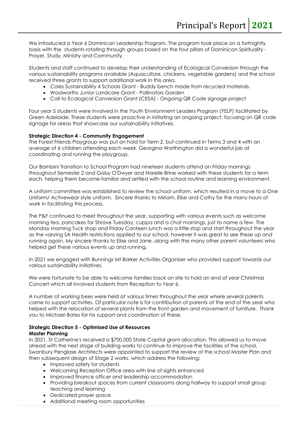We introduced a Year 6 Dominican Leadership Program. The program took place on a fortnightly basis with the students rotating through groups based on the four pillars of Dominican Spirituality - Prayer, Study, Ministry and Community.

Students and staff continued to develop their understanding of Ecological Conversion through the various sustainability programs available (Aquaculture, chickens, vegetable gardens) and the school received three grants to support additional work in this area.

- Coles Sustainability 4 Schools Grant Buddy bench made from recycled materials.
- Woolworths Junior Landcare Grant Pollinators Garden
- Call to Ecological Conversion Grant (CESA) Ongoing QR Code signage project

Four year 5 students were involved in the Youth Environment Leaders Program (YELP) facilitated by Green Adelaide. These students were proactive in initiating an ongoing project, focusing on QR code signage for areas that showcase our sustainability initiatives.

#### **Strategic Direction 4 - Community Engagement**

The Forest Friends Playgroup was put on hold for Term 2, but continued in Terms 3 and 4 with an average of 6 children attending each week. Georgina Worthington did a wonderful job at coordinating and running the playgroup.

Our Bambini Transition to School Program had nineteen students attend on Friday mornings throughout Semester 2 and Gaby O'Dwyer and Narelle Brine worked with these students for a term each, helping them become familiar and settled with the school routine and learning environment.

A uniform committee was established to review the school uniform, which resulted in a move to a One Uniform/ Activewear style uniform. Sincere thanks to Miriam, Elise and Cathy for the many hours of work in facilitating this process.

The P&F continued to meet throughout the year, supporting with various events such as welcome morning tea, pancakes for Shrove Tuesday, cuppa and a chat mornings, just to name a few. The Monday morning Tuck shop and Friday Canteen lunch was a little stop and start throughout the year as the varying SA Health restrictions applied to our school, however it was great to see these up and running again. My sincere thanks to Elise and Jane, along with the many other parent volunteers who helped get these various events up and running.

In 2021 we engaged with Bunnings Mt Barker Activities Organiser who provided support towards our various sustainability initiatives.

We were fortunate to be able to welcome families back on site to hold an end of year Christmas Concert which all involved students from Reception to Year 6.

A number of working bees were held at various times throughout the year where several parents came to support activities. Of particular note is for contribution of parents at the end of the year who helped with the relocation of several plants from the front garden and movement of furniture. Thank you to Michael Bates for his support and coordination of these.

#### **Strategic Direction 5 - Optimised Use of Resources**

**Master Planning**

In 2021, St Catherine's received a \$700,000 State Capital grant allocation. This allowed us to move ahead with the next stage of building works to continue to improve the facilities of the school. Swanbury Penglase Architects were appointed to support the review of the school Master Plan and then subsequent design of Stage 2 works, which address the following:

- Improved safety for students
- Welcoming Reception Office area with line of sights enhanced
- Improved finance officer and leadership accommodation
- Providing breakout spaces from current classrooms along hallway to support small group teaching and learning
- Dedicated prayer space
- Additional meeting room opportunities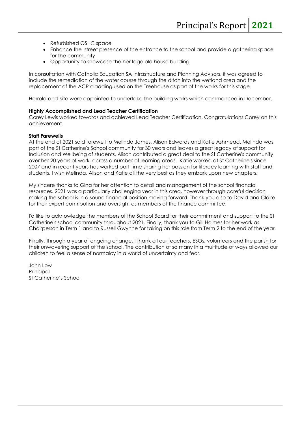- Refurbished OSHC space
- Enhance the street presence of the entrance to the school and provide a gathering space for the community
- Opportunity to showcase the heritage old house building

In consultation with Catholic Education SA Infrastructure and Planning Advisors, it was agreed to include the remediation of the water course through the ditch into the wetland area and the replacement of the ACP cladding used on the Treehouse as part of the works for this stage.

Harrold and Kite were appointed to undertake the building works which commenced in December.

#### **Highly Accomplished and Lead Teacher Certification**

Corey Lewis worked towards and achieved Lead Teacher Certification. Congratulations Corey on this achievement.

#### **Staff Farewells**

At the end of 2021 said farewell to Melinda James, Alison Edwards and Katie Ashmead. Melinda was part of the St Catherine's School community for 30 years and leaves a great legacy of support for Inclusion and Wellbeing of students. Alison contributed a great deal to the St Catherine's community over her 20 years of work, across a number of learning areas. Katie worked at St Catherine's since 2007 and in recent years has worked part-time sharing her passion for literacy learning with staff and students. I wish Melinda, Alison and Katie all the very best as they embark upon new chapters.

My sincere thanks to Gina for her attention to detail and management of the school financial resources. 2021 was a particularly challenging year in this area, however through careful decision making the school is in a sound financial position moving forward. Thank you also to David and Claire for their expert contribution and oversight as members of the finance committee.

I'd like to acknowledge the members of the School Board for their commitment and support to the St Catherine's school community throughout 2021. Finally, thank you to Gill Holmes for her work as Chairperson in Term 1 and to Russell Gwynne for taking on this role from Term 2 to the end of the year.

Finally, through a year of ongoing change, I thank all our teachers, ESOs, volunteers and the parish for their unwavering support of the school. The contribution of so many in a multitude of ways allowed our children to feel a sense of normalcy in a world of uncertainty and fear.

John Low **Principal** St Catherine's School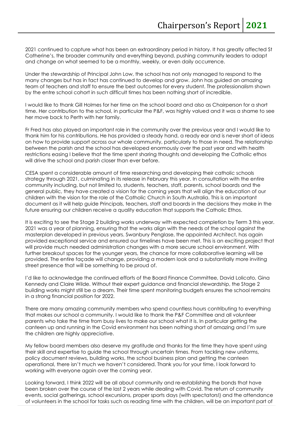2021 continued to capture what has been an extraordinary period in history. It has greatly affected St Catherine's, the broader community and everything beyond, pushing community leaders to adapt and change on what seemed to be a monthly, weekly, or even daily occurrence.

Under the stewardship of Principal John Low, the school has not only managed to respond to the many changes but has in fact has continued to develop and grow. John has guided an amazing team of teachers and staff to ensure the best outcomes for every student. The professionalism shown by the entre school cohort in such difficult times has been nothing short of incredible.

I would like to thank Gill Holmes for her time on the school board and also as Chairperson for a short time. Her contribution to the school, in particular the P&F, was highly valued and it was a shame to see her move back to Perth with her family.

Fr Fred has also played an important role in the community over the previous year and I would like to thank him for his contributions. He has provided a steady hand, a ready ear and is never short of ideas on how to provide support across our whole community, particularly to those in need. The relationship between the parish and the school has developed enormously over the past year and with health restrictions easing I believe that the time spent sharing thoughts and developing the Catholic ethos will drive the school and parish closer than ever before.

CESA spent a considerable amount of time researching and developing their catholic schools strategy through 2021, culminating in its release in February this year. In consultation with the entire community including, but not limited to, students, teachers, staff, parents, school boards and the general public, they have created a vision for the coming years that will align the education of our children with the vision for the role of the Catholic Church in South Australia. This is an important document as it will help guide Principals, teachers, staff and boards in the decisions they make in the future ensuring our children receive a quality education that supports the Catholic Ethos.

It is exciting to see the Stage 2 building works underway with expected completion by Term 3 this year. 2021 was a year of planning, ensuring that the works align with the needs of the school against the masterplan developed in previous years. Swanbury Penglase, the appointed Architect, has again provided exceptional service and ensured our timelines have been met. This is an exciting project that will provide much needed administration changes with a more secure school environment. With further breakout spaces for the younger years, the chance for more collaborative learning will be provided. The entire façade will change, providing a modern look and a substantially more inviting street presence that will be something to be proud of.

I'd like to acknowledge the continued efforts of the Board Finance Committee, David Lolicato, Gina Kennedy and Claire Wilde. Without their expert guidance and financial stewardship, the Stage 2 building works might still be a dream. Their time spent monitoring budgets ensures the school remains in a strong financial position for 2022.

There are many amazing community members who spend countless hours contributing to everything that makes our school a community. I would like to thank the P&F Committee and all volunteer parents who take the time from busy lives to make our school what it is. In particular getting the canteen up and running in the Covid environment has been nothing short of amazing and I'm sure the children are highly appreciative.

My fellow board members also deserve my gratitude and thanks for the time they have spent using their skill and expertise to guide the school through uncertain times. From tackling new uniforms, policy document reviews, building works, the school business plan and getting the canteen operational, there isn't much we haven't considered. Thank you for your time, I look forward to working with everyone again over the coming year.

Looking forward, I think 2022 will be all about community and re-establishing the bonds that have been broken over the course of the last 2 years while dealing with Covid. The return of community events, social gatherings, school excursions, proper sports days (with spectators!) and the attendance of volunteers in the school for tasks such as reading time with the children, will be an important part of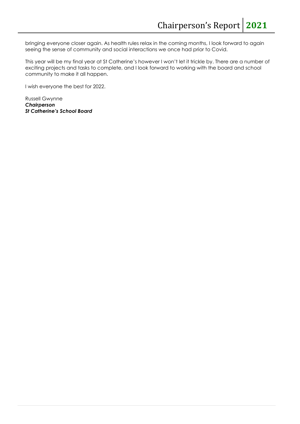bringing everyone closer again. As health rules relax in the coming months, I look forward to again seeing the sense of community and social interactions we once had prior to Covid.

This year will be my final year at St Catherine's however I won't let it trickle by. There are a number of exciting projects and tasks to complete, and I look forward to working with the board and school community to make it all happen.

I wish everyone the best for 2022.

Russell Gwynne *Chairperson St Catherine's School Board*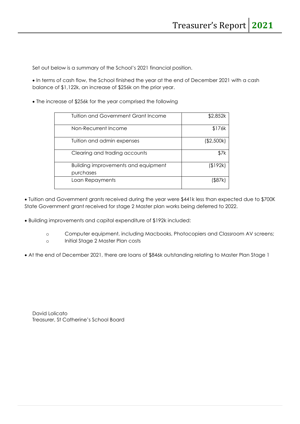Set out below is a summary of the School's 2021 financial position.

• In terms of cash flow, the School finished the year at the end of December 2021 with a cash balance of \$1,122k, an increase of \$256k on the prior year.

• The increase of \$256k for the year comprised the following

| Tuition and Government Grant Income<br>\$2,852k<br>\$176k<br>Non-Recurrent Income<br>Tuition and admin expenses<br>(\$2,500k)<br>Clearing and trading accounts<br>\$7k<br><b>Building improvements and equipment</b><br>(\$192k)<br>purchases<br>Loan Repayments<br>l\$87k |  |
|----------------------------------------------------------------------------------------------------------------------------------------------------------------------------------------------------------------------------------------------------------------------------|--|
|                                                                                                                                                                                                                                                                            |  |
|                                                                                                                                                                                                                                                                            |  |
|                                                                                                                                                                                                                                                                            |  |
|                                                                                                                                                                                                                                                                            |  |
|                                                                                                                                                                                                                                                                            |  |
|                                                                                                                                                                                                                                                                            |  |
|                                                                                                                                                                                                                                                                            |  |

• Tuition and Government grants received during the year were \$441k less than expected due to \$700K State Government grant received for stage 2 Master plan works being deferred to 2022.

- Building improvements and capital expenditure of \$192k included:
	- o Computer equipment, including Macbooks, Photocopiers and Classroom AV screens;
	- o Initial Stage 2 Master Plan costs
- At the end of December 2021, there are loans of \$846k outstanding relating to Master Plan Stage 1

David Lolicato Treasurer, St Catherine's School Board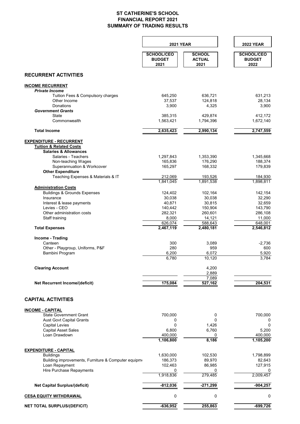#### **ST CATHERINE'S SCHOOL FINANCIAL REPORT 2021 SUMMARY OF TRADING RESULTS**

|                                                                                                          | <b>2021 YEAR</b>                           |                                        | <b>2022 YEAR</b>                           |
|----------------------------------------------------------------------------------------------------------|--------------------------------------------|----------------------------------------|--------------------------------------------|
|                                                                                                          | <b>SCHOOL/CEO</b><br><b>BUDGET</b><br>2021 | <b>SCHOOL</b><br><b>ACTUAL</b><br>2021 | <b>SCHOOL/CEO</b><br><b>BUDGET</b><br>2022 |
| <b>RECURRENT ACTIVITIES</b>                                                                              |                                            |                                        |                                            |
| <b>INCOME RECURRENT</b>                                                                                  |                                            |                                        |                                            |
| <b>Private Income</b>                                                                                    |                                            |                                        |                                            |
| Tuition Fees & Compulsory charges<br>Other Income                                                        | 645,250<br>37,537                          | 636,721<br>124,818                     | 631,213<br>28,134                          |
| <b>Donations</b>                                                                                         | 3,900                                      | 4,325                                  | 3,900                                      |
| <b>Government Grants</b>                                                                                 |                                            |                                        |                                            |
| State<br>Commonwealth                                                                                    | 385,315<br>1,563,421                       | 429,874<br>1,794,396                   | 412,172<br>1,672,140                       |
| <b>Total Income</b>                                                                                      | 2,635,423                                  | 2,990,134                              | 2,747,559                                  |
| <b>EXPENDITURE - RECURRENT</b><br><b>Tuition &amp; Related Costs</b><br><b>Salaries &amp; Allowances</b> |                                            |                                        |                                            |
| Salaries - Teachers                                                                                      | 1,297,843                                  | 1,353,390                              | 1,345,668                                  |
| Non-teaching Wages                                                                                       | 165,836                                    | 176,290                                | 188,374                                    |
| Superannuation & Workcover                                                                               | 165,297                                    | 168,332                                | 179,839                                    |
| <b>Other Expenditure</b><br>Teaching Expenses & Materials & IT                                           | 212,069                                    | 193,526                                | 184,930                                    |
|                                                                                                          | 1,841,045                                  | 1,891,538                              | 1,898,811                                  |
| <b>Administration Costs</b>                                                                              |                                            |                                        |                                            |
| <b>Buildings &amp; Grounds Expenses</b>                                                                  | 124,402                                    | 102,164                                | 142,154                                    |
| Insurance                                                                                                | 30,038                                     | 30,038                                 | 32,290                                     |
| Interest & lease payments<br>Levies - CEO                                                                | 40,871<br>140,442                          | 30,815<br>150,904                      | 32,659<br>143,790                          |
| Other administration costs                                                                               | 282,321                                    | 260,601                                | 286,108                                    |
| Staff training                                                                                           | 8,000                                      | 14,121                                 | 11,000                                     |
|                                                                                                          | 626,074                                    | 588,643                                | 648,001                                    |
| <b>Total Expenses</b>                                                                                    | 2,467,119                                  | 2,480,181                              | 2,546,812                                  |
| Income - Trading                                                                                         |                                            |                                        |                                            |
| Canteen                                                                                                  | 300                                        | 3,089                                  | $-2.736$                                   |
| Other - Playgroup, Uniforms, P&F<br>Bambini Program                                                      | 280<br>6,200                               | 959<br>6,072                           | 600<br>5,920                               |
|                                                                                                          | 6,780                                      | 10,120                                 | 3,784                                      |
|                                                                                                          |                                            |                                        |                                            |
| <b>Clearing Account</b>                                                                                  |                                            | 4,200                                  |                                            |
|                                                                                                          |                                            | 2,889<br>7,089                         |                                            |
| Net Recurrent Income/(deficit)                                                                           | 175,084                                    | 527,162                                | 204.531                                    |
|                                                                                                          |                                            |                                        |                                            |
| <b>CAPITAL ACTIVITIES</b>                                                                                |                                            |                                        |                                            |
| <b>INCOME - CAPITAL</b>                                                                                  |                                            |                                        |                                            |
| <b>State Government Grant</b>                                                                            | 700,000                                    | 0<br>$\Omega$                          | 700,000                                    |
| <b>Aust Govt Capital Grants</b><br><b>Capital Levies</b>                                                 | 0<br>$\mathbf 0$                           | 1,426                                  | 0<br>$\pmb{0}$                             |
| <b>Capital Asset Sales</b>                                                                               | 6,800                                      | 6,760                                  | 5,200                                      |
| Loan Drawdown                                                                                            | 400,000                                    | 0                                      | 400,000                                    |
|                                                                                                          | 1,106,800                                  | 8,186                                  | 1,105,200                                  |
| <b>EXPENDITURE - CAPITAL</b>                                                                             |                                            |                                        |                                            |
| <b>Buildings</b>                                                                                         | 1,630,000                                  | 102,530                                | 1,798,899                                  |
| Building improvements, Furniture & Computer equipme                                                      | 186,373                                    | 89,970                                 | 82,643                                     |
| Loan Repayment<br>Hire Purchase Repayments                                                               | 102,463<br>0                               | 86,985<br>0                            | 127,915<br>0                               |
|                                                                                                          | 1,918,836                                  | 279,485                                | 2,009,457                                  |
| <b>Net Capital Surplus/(deficit)</b>                                                                     | $-812,036$                                 | $-271,299$                             | $-904,257$                                 |
| <b>CESA EQUITY WITHDRAWAL</b>                                                                            | 0                                          | 0                                      | 0                                          |
| <b>NET TOTAL SURPLUS/(DEFICIT)</b>                                                                       | $-636,952$                                 | 255,863                                | $-699,726$                                 |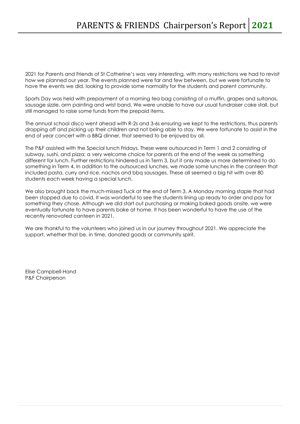2021 for Parents and Friends of St Catherine's was very interesting, with many restrictions we had to revisit how we planned our year. The events planned were far and few between, but we were fortunate to have the events we did, looking to provide some normality for the students and parent community.

Sports Day was held with prepayment of a morning tea bag consisting of a muffin, grapes and sultanas, sausage sizzle, arm painting and wrist band. We were unable to have our usual fundraiser cake stall, but still managed to raise some funds from the prepaid items.

The annual school disco went ahead with R-2s and 3-6s ensuring we kept to the restrictions, thus parents dropping off and picking up their children and not being able to stay. We were fortunate to assist in the end of year concert with a BBQ dinner, that seemed to be enjoyed by all.

The P&F assisted with the Special lunch Fridays. These were outsourced in Term 1 and 2 consisting of subway, sushi, and pizza; a very welcome choice for parents at the end of the week as something different for lunch. Further restrictions hindered us in Term 3, but it only made us more determined to do something in Term 4. In addition to the outsourced lunches, we made some lunches in the canteen that included pasta, curry and rice, nachos and bbq sausages. These all seemed a big hit with over 80 students each week having a special lunch.

We also brought back the much-missed Tuck at the end of Term 3. A Monday morning staple that had been stopped due to covid. It was wonderful to see the students lining up ready to order and pay for something they chose. Although we did start out purchasing or making baked goods onsite, we were eventually fortunate to have parents bake at home. It has been wonderful to have the use of the recently renovated canteen in 2021.

We are thankful to the volunteers who joined us in our journey throughout 2021. We appreciate the support, whether that be, in time, donated goods or community spirit.

Elise Campbell-Hand P&F Chairperson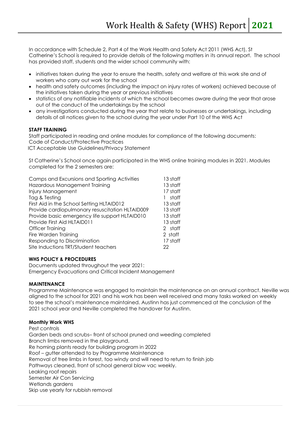In accordance with Schedule 2, Part 4 of the Work Health and Safety Act 2011 (WHS Act), St Catherine's School is required to provide details of the following matters in its annual report. The school has provided staff, students and the wider school community with:

- initiatives taken during the year to ensure the health, safety and welfare at this work site and of workers who carry out work for the school
- health and safety outcomes (including the impact on injury rates of workers) achieved because of the initiatives taken during the year or previous initiatives
- statistics of any notifiable incidents of which the school becomes aware during the year that arose out of the conduct of the undertakings by the school
- any investigations conducted during the year that relate to businesses or undertakings, including details of all notices given to the school during the year under Part 10 of the WHS Act

#### **STAFF TRAINING**

Staff participated in reading and online modules for compliance of the following documents: Code of Conduct/Protective Practices ICT Acceptable Use Guidelines/Privacy Statement

St Catherine's School once again participated in the WHS online training modules in 2021. Modules completed for the 2 semesters are:

| 13 staff |
|----------|
| 13 staff |
| 17 staff |
| staff    |
| 13 staff |
| 13 staff |
| 13 staff |
| 13 staff |
| 2 staff  |
| 2 staff  |
| 17 staff |
| 22       |
|          |

#### **WHS POLICY & PROCEDURES**

Documents updated throughout the year 2021: Emergency Evacuations and Critical Incident Management

#### **MAINTENANCE**

Programme Maintenance was engaged to maintain the maintenance on an annual contract. Neville was aligned to the school for 2021 and his work has been well received and many tasks worked on weekly to see the school's maintenance maintained. Austinn has just commenced at the conclusion of the 2021 school year and Neville completed the handover for Austinn.

#### **Monthly Work WHS**

Pest controls Garden beds and scrubs– front of school pruned and weeding completed Branch limbs removed in the playground. Re homing plants ready for building program in 2022 Roof – gutter attended to by Programme Maintenance Removal of tree limbs in forest, too windy and will need to return to finish job Pathways cleaned, front of school general blow vac weekly. Leaking roof repairs Semester Air Con Servicing Wetlands gardens Skip use yearly for rubbish removal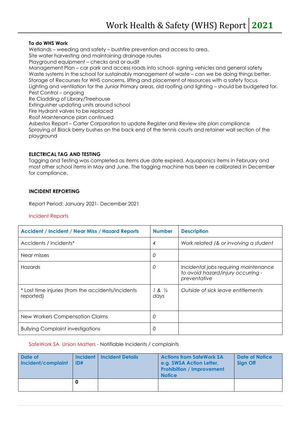#### **To do WHS Work**

Wetlands – weeding and safety – bushfire prevention and access to area. Site water harvesting and maintaining drainage routes Playground equipment – checks and or audit Management Plan – car park and access roads into school- signing vehicles and general safety Waste systems in the school for sustainably management of waste – can we be doing things better. Storage of Recourses for WHS concerns, lifting and placement of resources with a safety focus Lighting and ventilation for the Junior Primary areas, old roofing and lighting – should be budgeted for. Pest Control – ongoing Re Cladding of Library/Treehouse Extinguisher updating units around school Fire Hydrant valves to be replaced Roof Maintenance plan continued Asbestos Report – Carter Corporation to update Register and Review site plan compliance Spraying of Black berry bushes on the back end of the tennis courts and retainer wall section of the

#### **ELECTRICAL TAG AND TESTING**

Tagging and Testing was completed as items due date expired. Aquaponics items in February and most other school items in May and June. The tagging machine has been re calibrated in December for compliance.

#### **INCIDENT REPORTING**

Report Period: January 2021- December 2021

#### Incident Reports

playground

| <b>Accident / Incident / Near Miss / Hazard Reports</b>         | <b>Number</b>               | <b>Description</b>                                                                          |
|-----------------------------------------------------------------|-----------------------------|---------------------------------------------------------------------------------------------|
| Accidents / Incidents*                                          | 4                           | Work related /& or involving a student                                                      |
| Near misses                                                     | 0                           |                                                                                             |
| <b>Hazards</b>                                                  | 0                           | Incidental jobs requiring maintenance<br>to avoid hazard/injury occurring -<br>preventative |
| * Lost time injuries (from the accidents/incidents<br>reported) | $1 & 8 \frac{1}{2}$<br>days | Outside of sick leave entitlements                                                          |
| New Workers Compensation Claims                                 | 0                           |                                                                                             |
| <b>Bullying Complaint investigations</b>                        | 0                           |                                                                                             |

#### SafeWork SA Union Matters - Notifiable Incidents / complaints

| Date of<br>Incident/complaint | <b>Incident</b><br>ID# | <b>Incident Details</b> | <b>Actions from SafeWork SA</b><br>e.g. SWSA Action Letter,<br><b>Prohibition / Improvement</b><br><b>Notice</b> | Date of Notice<br>Sign Off |
|-------------------------------|------------------------|-------------------------|------------------------------------------------------------------------------------------------------------------|----------------------------|
|                               | O                      |                         |                                                                                                                  |                            |